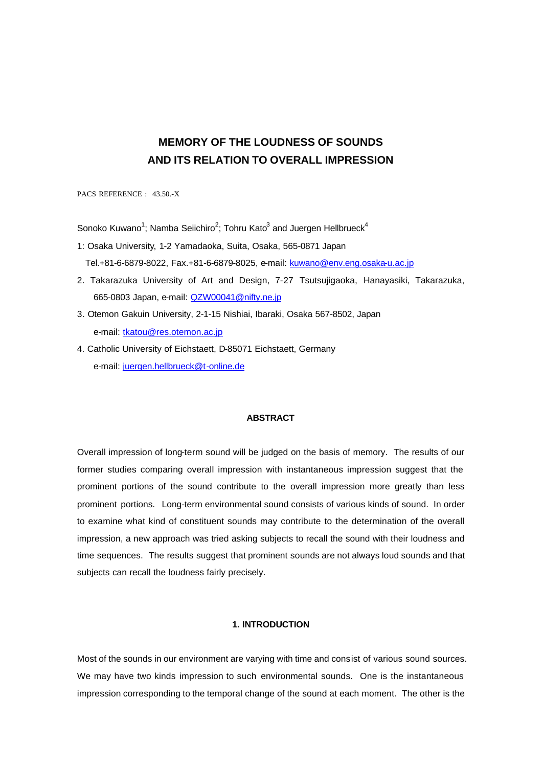# **MEMORY OF THE LOUDNESS OF SOUNDS AND ITS RELATION TO OVERALL IMPRESSION**

PACS REFERENCE : 43.50.-X

Sonoko Kuwano<sup>1</sup>; Namba Seiichiro<sup>2</sup>; Tohru Kato<sup>3</sup> and Juergen Hellbrueck<sup>4</sup>

- 1: Osaka University, 1-2 Yamadaoka, Suita, Osaka, 565-0871 Japan Tel.+81-6-6879-8022, Fax.+81-6-6879-8025, e-mail: kuwano@env.eng.osaka-u.ac.jp
- 2. Takarazuka University of Art and Design, 7-27 Tsutsujigaoka, Hanayasiki, Takarazuka, 665-0803 Japan, e-mail: QZW00041@nifty.ne.jp
- 3. Otemon Gakuin University, 2-1-15 Nishiai, Ibaraki, Osaka 567-8502, Japan e-mail: tkatou@res.otemon.ac.jp
- 4. Catholic University of Eichstaett, D-85071 Eichstaett, Germany e-mail: juergen.hellbrueck@t-online.de

# **ABSTRACT**

Overall impression of long-term sound will be judged on the basis of memory. The results of our former studies comparing overall impression with instantaneous impression suggest that the prominent portions of the sound contribute to the overall impression more greatly than less prominent portions. Long-term environmental sound consists of various kinds of sound. In order to examine what kind of constituent sounds may contribute to the determination of the overall impression, a new approach was tried asking subjects to recall the sound with their loudness and time sequences. The results suggest that prominent sounds are not always loud sounds and that subjects can recall the loudness fairly precisely.

# **1. INTRODUCTION**

Most of the sounds in our environment are varying with time and consist of various sound sources. We may have two kinds impression to such environmental sounds. One is the instantaneous impression corresponding to the temporal change of the sound at each moment. The other is the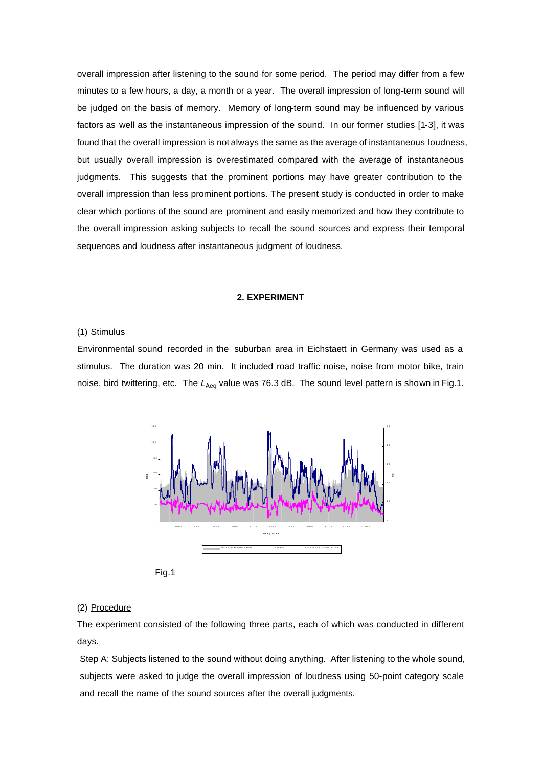overall impression after listening to the sound for some period. The period may differ from a few minutes to a few hours, a day, a month or a year. The overall impression of long-term sound will be judged on the basis of memory. Memory of long-term sound may be influenced by various factors as well as the instantaneous impression of the sound. In our former studies [1-3], it was found that the overall impression is not always the same as the average of instantaneous loudness, but usually overall impression is overestimated compared with the average of instantaneous judgments. This suggests that the prominent portions may have greater contribution to the overall impression than less prominent portions. The present study is conducted in order to make clear which portions of the sound are prominent and easily memorized and how they contribute to the overall impression asking subjects to recall the sound sources and express their temporal sequences and loudness after instantaneous judgment of loudness.

#### **2. EXPERIMENT**

# (1) Stimulus

Environmental sound recorded in the suburban area in Eichstaett in Germany was used as a stimulus. The duration was 20 min. It included road traffic noise, noise from motor bike, train noise, bird twittering, etc. The L<sub>Aeq</sub> value was 76.3 dB. The sound level pattern is shown in Fig.1.



Fig.1

### (2) Procedure

The experiment consisted of the following three parts, each of which was conducted in different days.

Step A: Subjects listened to the sound without doing anything. After listening to the whole sound, subjects were asked to judge the overall impression of loudness using 50-point category scale and recall the name of the sound sources after the overall judgments.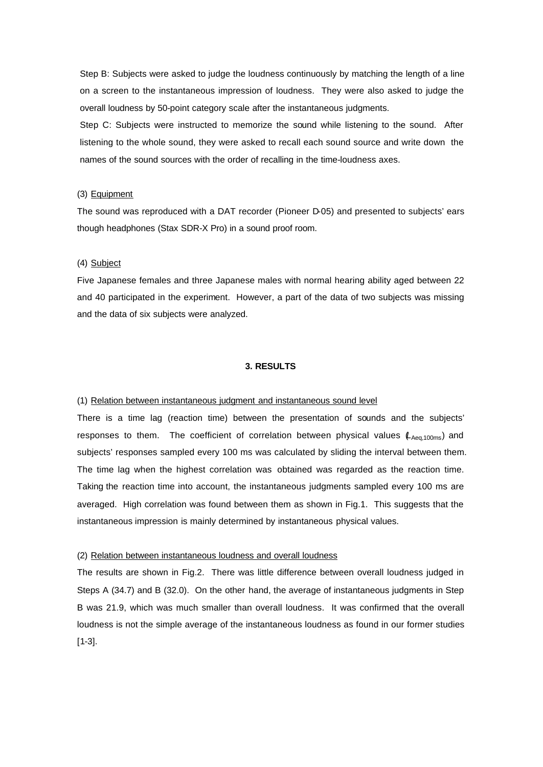Step B: Subjects were asked to judge the loudness continuously by matching the length of a line on a screen to the instantaneous impression of loudness. They were also asked to judge the overall loudness by 50-point category scale after the instantaneous judgments.

Step C: Subjects were instructed to memorize the sound while listening to the sound. After listening to the whole sound, they were asked to recall each sound source and write down the names of the sound sources with the order of recalling in the time-loudness axes.

# (3) Equipment

The sound was reproduced with a DAT recorder (Pioneer D-05) and presented to subjects' ears though headphones (Stax SDR-X Pro) in a sound proof room.

# (4) Subject

Five Japanese females and three Japanese males with normal hearing ability aged between 22 and 40 participated in the experiment. However, a part of the data of two subjects was missing and the data of six subjects were analyzed.

### **3. RESULTS**

#### (1) Relation between instantaneous judgment and instantaneous sound level

There is a time lag (reaction time) between the presentation of sounds and the subjects' responses to them. The coefficient of correlation between physical values ( $L_{Aea,100ms}$ ) and subjects' responses sampled every 100 ms was calculated by sliding the interval between them. The time lag when the highest correlation was obtained was regarded as the reaction time. Taking the reaction time into account, the instantaneous judgments sampled every 100 ms are averaged. High correlation was found between them as shown in Fig.1. This suggests that the instantaneous impression is mainly determined by instantaneous physical values.

### (2) Relation between instantaneous loudness and overall loudness

The results are shown in Fig.2. There was little difference between overall loudness judged in Steps A (34.7) and B (32.0). On the other hand, the average of instantaneous judgments in Step B was 21.9, which was much smaller than overall loudness. It was confirmed that the overall loudness is not the simple average of the instantaneous loudness as found in our former studies [1-3].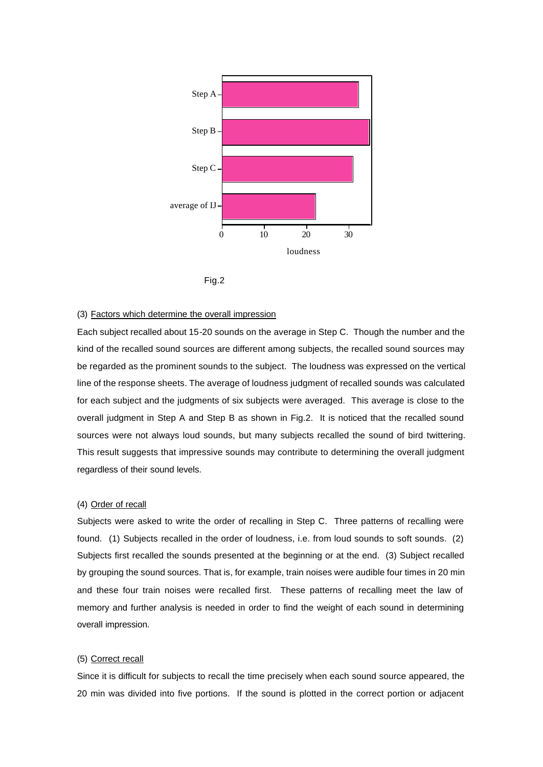



# (3) Factors which determine the overall impression

Each subject recalled about 15-20 sounds on the average in Step C. Though the number and the kind of the recalled sound sources are different among subjects, the recalled sound sources may be regarded as the prominent sounds to the subject. The loudness was expressed on the vertical line of the response sheets. The average of loudness judgment of recalled sounds was calculated for each subject and the judgments of six subjects were averaged. This average is close to the overall judgment in Step A and Step B as shown in Fig.2. It is noticed that the recalled sound sources were not always loud sounds, but many subjects recalled the sound of bird twittering. This result suggests that impressive sounds may contribute to determining the overall judgment regardless of their sound levels.

### (4) Order of recall

Subjects were asked to write the order of recalling in Step C. Three patterns of recalling were found. (1) Subjects recalled in the order of loudness, i.e. from loud sounds to soft sounds. (2) Subjects first recalled the sounds presented at the beginning or at the end. (3) Subject recalled by grouping the sound sources. That is, for example, train noises were audible four times in 20 min and these four train noises were recalled first. These patterns of recalling meet the law of memory and further analysis is needed in order to find the weight of each sound in determining overall impression.

### (5) Correct recall

Since it is difficult for subjects to recall the time precisely when each sound source appeared, the 20 min was divided into five portions. If the sound is plotted in the correct portion or adjacent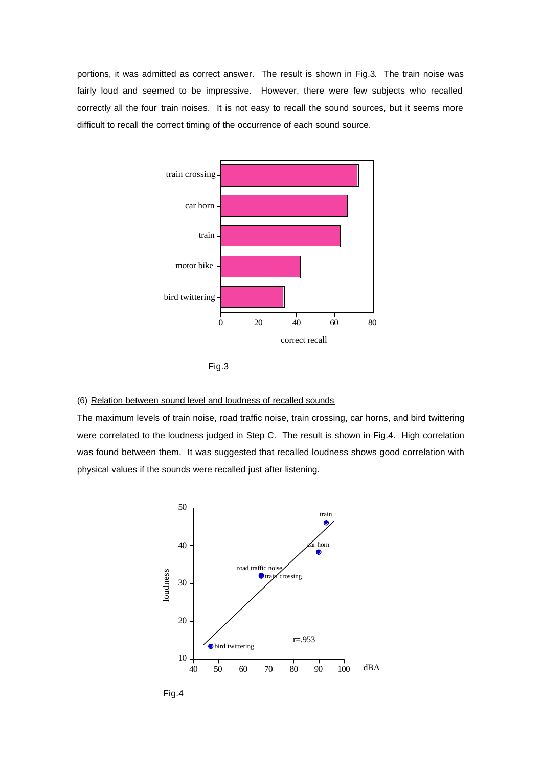portions, it was admitted as correct answer. The result is shown in Fig.3. The train noise was fairly loud and seemed to be impressive. However, there were few subjects who recalled correctly all the four train noises. It is not easy to recall the sound sources, but it seems more difficult to recall the correct timing of the occurrence of each sound source.





### (6) Relation between sound level and loudness of recalled sounds

The maximum levels of train noise, road traffic noise, train crossing, car horns, and bird twittering were correlated to the loudness judged in Step C. The result is shown in Fig.4. High correlation was found between them. It was suggested that recalled loudness shows good correlation with physical values if the sounds were recalled just after listening.